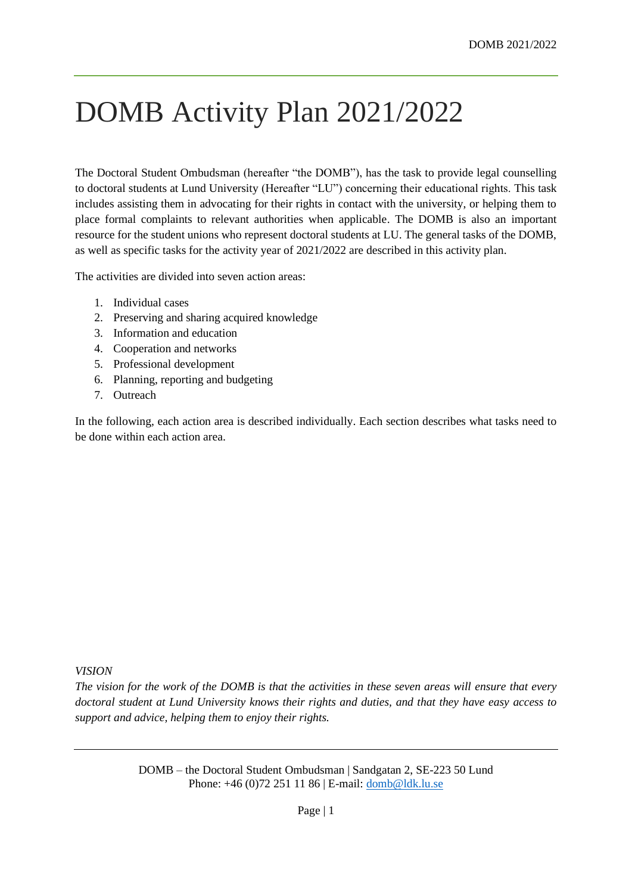# DOMB Activity Plan 2021/2022

The Doctoral Student Ombudsman (hereafter "the DOMB"), has the task to provide legal counselling to doctoral students at Lund University (Hereafter "LU") concerning their educational rights. This task includes assisting them in advocating for their rights in contact with the university, or helping them to place formal complaints to relevant authorities when applicable. The DOMB is also an important resource for the student unions who represent doctoral students at LU. The general tasks of the DOMB, as well as specific tasks for the activity year of 2021/2022 are described in this activity plan.

The activities are divided into seven action areas:

- 1. Individual cases
- 2. Preserving and sharing acquired knowledge
- 3. Information and education
- 4. Cooperation and networks
- 5. Professional development
- 6. Planning, reporting and budgeting
- 7. Outreach

In the following, each action area is described individually. Each section describes what tasks need to be done within each action area.

#### *VISION*

*The vision for the work of the DOMB is that the activities in these seven areas will ensure that every doctoral student at Lund University knows their rights and duties, and that they have easy access to support and advice, helping them to enjoy their rights.*

> DOMB – the Doctoral Student Ombudsman | Sandgatan 2, SE-223 50 Lund Phone: +46 (0)72 251 11 86 | E-mail: [domb@ldk.lu.se](mailto:domb@ldk.lu.se)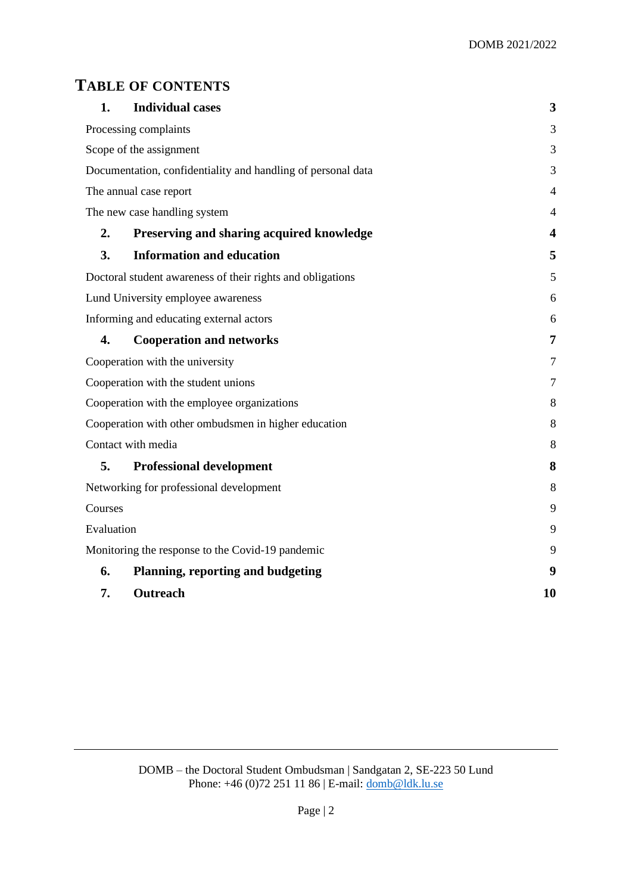# **TABLE OF CONTENTS**

| 1.                                                           | <b>Individual cases</b>                   | 3              |
|--------------------------------------------------------------|-------------------------------------------|----------------|
| Processing complaints                                        |                                           | 3              |
| Scope of the assignment                                      |                                           | 3              |
| Documentation, confidentiality and handling of personal data |                                           | 3              |
| The annual case report                                       |                                           | $\overline{4}$ |
| The new case handling system                                 |                                           | 4              |
| 2.                                                           | Preserving and sharing acquired knowledge | 4              |
| 3.                                                           | <b>Information and education</b>          | 5              |
| Doctoral student awareness of their rights and obligations   |                                           | 5              |
| Lund University employee awareness                           |                                           | 6              |
| Informing and educating external actors                      |                                           | 6              |
| 4.                                                           | <b>Cooperation and networks</b>           | 7              |
| Cooperation with the university                              |                                           | 7              |
| Cooperation with the student unions                          |                                           | 7              |
| Cooperation with the employee organizations                  |                                           | 8              |
| Cooperation with other ombudsmen in higher education         |                                           | 8              |
| Contact with media                                           |                                           | 8              |
| 5.                                                           | <b>Professional development</b>           | 8              |
| Networking for professional development                      |                                           | 8              |
| Courses                                                      |                                           | 9              |
| Evaluation                                                   |                                           | 9              |
| Monitoring the response to the Covid-19 pandemic             |                                           | 9              |
| 6.                                                           | <b>Planning, reporting and budgeting</b>  | 9              |
| 7.                                                           | Outreach                                  | 10             |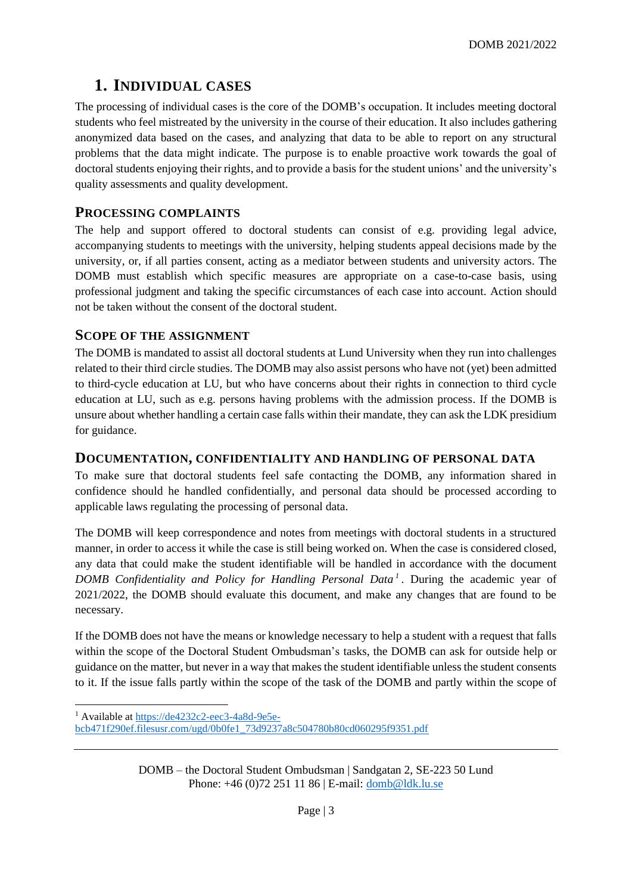# <span id="page-2-0"></span>**1. INDIVIDUAL CASES**

The processing of individual cases is the core of the DOMB's occupation. It includes meeting doctoral students who feel mistreated by the university in the course of their education. It also includes gathering anonymized data based on the cases, and analyzing that data to be able to report on any structural problems that the data might indicate. The purpose is to enable proactive work towards the goal of doctoral students enjoying their rights, and to provide a basis for the student unions' and the university's quality assessments and quality development.

### <span id="page-2-1"></span>**PROCESSING COMPLAINTS**

The help and support offered to doctoral students can consist of e.g. providing legal advice, accompanying students to meetings with the university, helping students appeal decisions made by the university, or, if all parties consent, acting as a mediator between students and university actors. The DOMB must establish which specific measures are appropriate on a case-to-case basis, using professional judgment and taking the specific circumstances of each case into account. Action should not be taken without the consent of the doctoral student.

### <span id="page-2-2"></span>**SCOPE OF THE ASSIGNMENT**

The DOMB is mandated to assist all doctoral students at Lund University when they run into challenges related to their third circle studies. The DOMB may also assist persons who have not (yet) been admitted to third-cycle education at LU, but who have concerns about their rights in connection to third cycle education at LU, such as e.g. persons having problems with the admission process. If the DOMB is unsure about whether handling a certain case falls within their mandate, they can ask the LDK presidium for guidance.

### <span id="page-2-3"></span>**DOCUMENTATION, CONFIDENTIALITY AND HANDLING OF PERSONAL DATA**

To make sure that doctoral students feel safe contacting the DOMB, any information shared in confidence should he handled confidentially, and personal data should be processed according to applicable laws regulating the processing of personal data.

The DOMB will keep correspondence and notes from meetings with doctoral students in a structured manner, in order to access it while the case is still being worked on. When the case is considered closed, any data that could make the student identifiable will be handled in accordance with the document *DOMB Confidentiality and Policy for Handling Personal Data <sup>1</sup>* . During the academic year of 2021/2022, the DOMB should evaluate this document, and make any changes that are found to be necessary.

If the DOMB does not have the means or knowledge necessary to help a student with a request that falls within the scope of the Doctoral Student Ombudsman's tasks, the DOMB can ask for outside help or guidance on the matter, but never in a way that makes the student identifiable unless the student consents to it. If the issue falls partly within the scope of the task of the DOMB and partly within the scope of

DOMB – the Doctoral Student Ombudsman | Sandgatan 2, SE-223 50 Lund Phone: +46 (0)72 251 11 86 | E-mail: [domb@ldk.lu.se](mailto:domb@ldk.lu.se)

<sup>1</sup> Available a[t https://de4232c2-eec3-4a8d-9e5e](https://de4232c2-eec3-4a8d-9e5e-bcb471f290ef.filesusr.com/ugd/0b0fe1_73d9237a8c504780b80cd060295f9351.pdf)[bcb471f290ef.filesusr.com/ugd/0b0fe1\\_73d9237a8c504780b80cd060295f9351.pdf](https://de4232c2-eec3-4a8d-9e5e-bcb471f290ef.filesusr.com/ugd/0b0fe1_73d9237a8c504780b80cd060295f9351.pdf)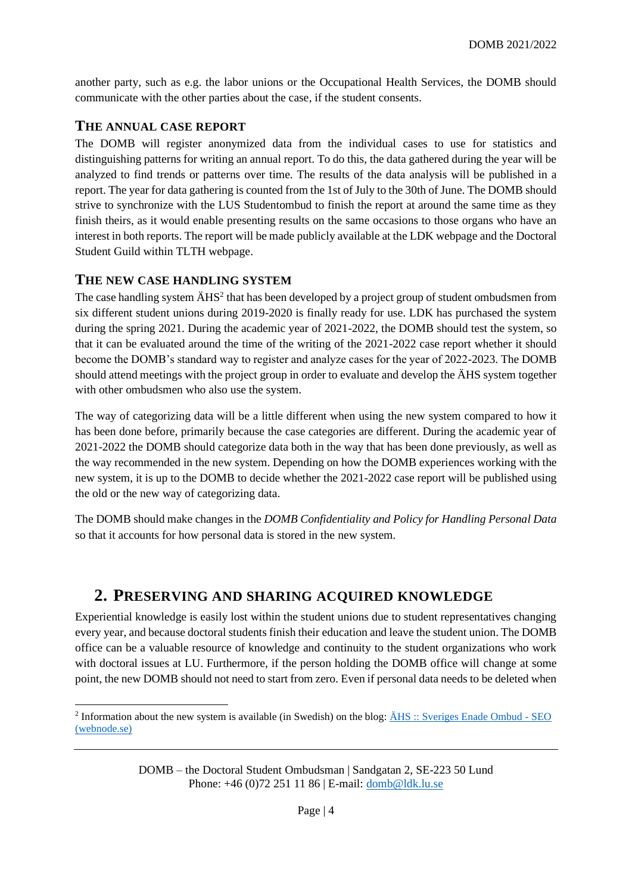another party, such as e.g. the labor unions or the Occupational Health Services, the DOMB should communicate with the other parties about the case, if the student consents.

### <span id="page-3-0"></span>**THE ANNUAL CASE REPORT**

The DOMB will register anonymized data from the individual cases to use for statistics and distinguishing patterns for writing an annual report. To do this, the data gathered during the year will be analyzed to find trends or patterns over time. The results of the data analysis will be published in a report. The year for data gathering is counted from the 1st of July to the 30th of June. The DOMB should strive to synchronize with the LUS Studentombud to finish the report at around the same time as they finish theirs, as it would enable presenting results on the same occasions to those organs who have an interest in both reports. The report will be made publicly available at the LDK webpage and the Doctoral Student Guild within TLTH webpage.

### <span id="page-3-1"></span>**THE NEW CASE HANDLING SYSTEM**

The case handling system  $\text{H}$ HS<sup>2</sup> that has been developed by a project group of student ombudsmen from six different student unions during 2019-2020 is finally ready for use. LDK has purchased the system during the spring 2021. During the academic year of 2021-2022, the DOMB should test the system, so that it can be evaluated around the time of the writing of the 2021-2022 case report whether it should become the DOMB's standard way to register and analyze cases for the year of 2022-2023. The DOMB should attend meetings with the project group in order to evaluate and develop the ÄHS system together with other ombudsmen who also use the system.

The way of categorizing data will be a little different when using the new system compared to how it has been done before, primarily because the case categories are different. During the academic year of 2021-2022 the DOMB should categorize data both in the way that has been done previously, as well as the way recommended in the new system. Depending on how the DOMB experiences working with the new system, it is up to the DOMB to decide whether the 2021-2022 case report will be published using the old or the new way of categorizing data.

The DOMB should make changes in the *DOMB Confidentiality and Policy for Handling Personal Data* so that it accounts for how personal data is stored in the new system.

### <span id="page-3-2"></span>**2. PRESERVING AND SHARING ACQUIRED KNOWLEDGE**

Experiential knowledge is easily lost within the student unions due to student representatives changing every year, and because doctoral students finish their education and leave the student union. The DOMB office can be a valuable resource of knowledge and continuity to the student organizations who work with doctoral issues at LU. Furthermore, if the person holding the DOMB office will change at some point, the new DOMB should not need to start from zero. Even if personal data needs to be deleted when

DOMB – the Doctoral Student Ombudsman | Sandgatan 2, SE-223 50 Lund Phone: +46 (0)72 251 11 86 | E-mail: [domb@ldk.lu.se](mailto:domb@ldk.lu.se)

<sup>&</sup>lt;sup>2</sup> Information about the new system is available (in Swedish) on the blog: <u>ÄHS :: Sveriges Enade Ombud - SEO</u> [\(webnode.se\)](https://enadeombud.webnode.se/ahs/)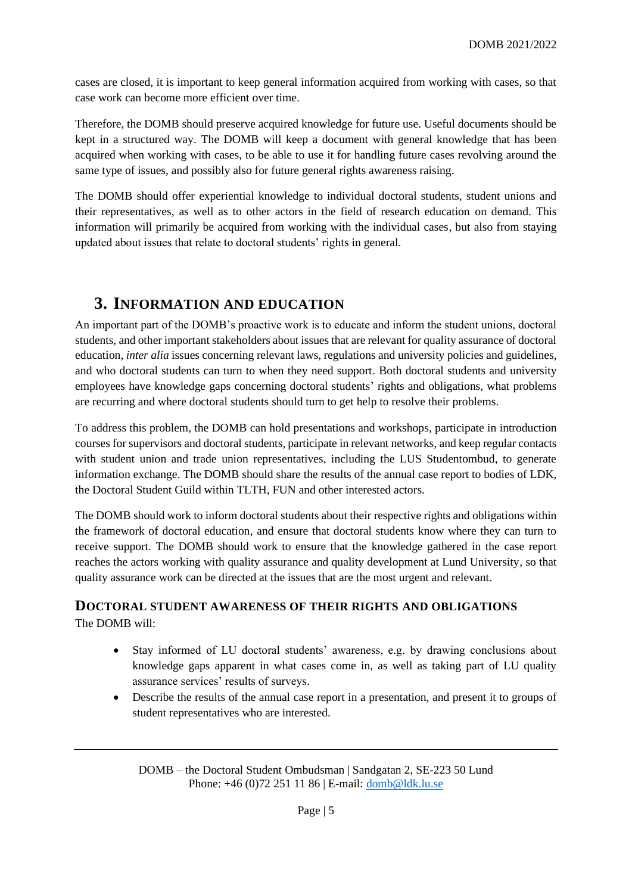cases are closed, it is important to keep general information acquired from working with cases, so that case work can become more efficient over time.

Therefore, the DOMB should preserve acquired knowledge for future use. Useful documents should be kept in a structured way. The DOMB will keep a document with general knowledge that has been acquired when working with cases, to be able to use it for handling future cases revolving around the same type of issues, and possibly also for future general rights awareness raising.

The DOMB should offer experiential knowledge to individual doctoral students, student unions and their representatives, as well as to other actors in the field of research education on demand. This information will primarily be acquired from working with the individual cases, but also from staying updated about issues that relate to doctoral students' rights in general.

# <span id="page-4-0"></span>**3. INFORMATION AND EDUCATION**

An important part of the DOMB's proactive work is to educate and inform the student unions, doctoral students, and other important stakeholders about issues that are relevant for quality assurance of doctoral education, *inter alia* issues concerning relevant laws, regulations and university policies and guidelines, and who doctoral students can turn to when they need support. Both doctoral students and university employees have knowledge gaps concerning doctoral students' rights and obligations, what problems are recurring and where doctoral students should turn to get help to resolve their problems.

To address this problem, the DOMB can hold presentations and workshops, participate in introduction courses for supervisors and doctoral students, participate in relevant networks, and keep regular contacts with student union and trade union representatives, including the LUS Studentombud, to generate information exchange. The DOMB should share the results of the annual case report to bodies of LDK, the Doctoral Student Guild within TLTH, FUN and other interested actors.

The DOMB should work to inform doctoral students about their respective rights and obligations within the framework of doctoral education, and ensure that doctoral students know where they can turn to receive support. The DOMB should work to ensure that the knowledge gathered in the case report reaches the actors working with quality assurance and quality development at Lund University, so that quality assurance work can be directed at the issues that are the most urgent and relevant.

### <span id="page-4-1"></span>**DOCTORAL STUDENT AWARENESS OF THEIR RIGHTS AND OBLIGATIONS** The DOMB will:

- Stay informed of LU doctoral students' awareness, e.g. by drawing conclusions about knowledge gaps apparent in what cases come in, as well as taking part of LU quality assurance services' results of surveys.
- Describe the results of the annual case report in a presentation, and present it to groups of student representatives who are interested.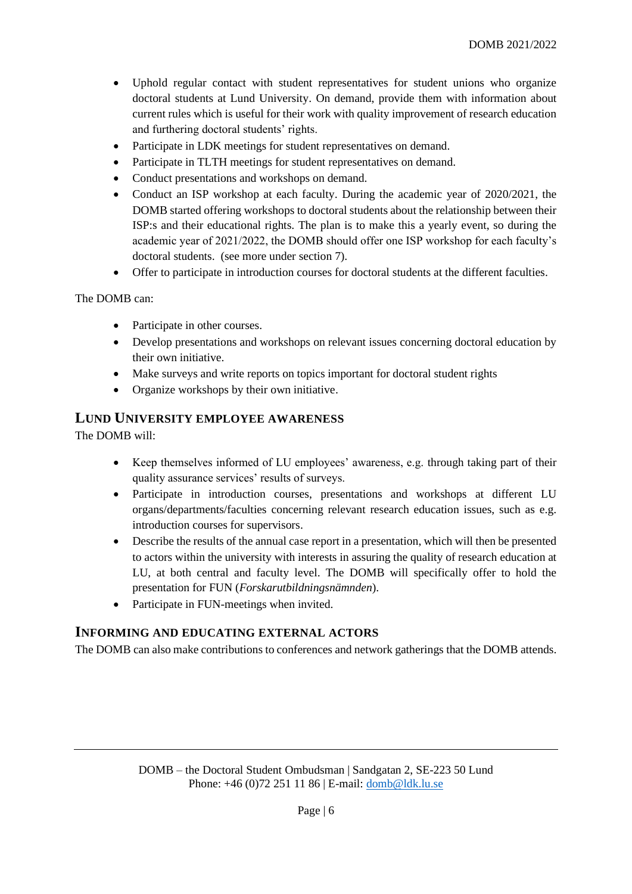- Uphold regular contact with student representatives for student unions who organize doctoral students at Lund University. On demand, provide them with information about current rules which is useful for their work with quality improvement of research education and furthering doctoral students' rights.
- Participate in LDK meetings for student representatives on demand.
- Participate in TLTH meetings for student representatives on demand.
- Conduct presentations and workshops on demand.
- Conduct an ISP workshop at each faculty. During the academic year of 2020/2021, the DOMB started offering workshops to doctoral students about the relationship between their ISP:s and their educational rights. The plan is to make this a yearly event, so during the academic year of 2021/2022, the DOMB should offer one ISP workshop for each faculty's doctoral students. (see more under section 7).
- Offer to participate in introduction courses for doctoral students at the different faculties.

The DOMB can:

- Participate in other courses.
- Develop presentations and workshops on relevant issues concerning doctoral education by their own initiative.
- Make surveys and write reports on topics important for doctoral student rights
- Organize workshops by their own initiative.

### <span id="page-5-0"></span>**LUND UNIVERSITY EMPLOYEE AWARENESS**

The DOMB will:

- Keep themselves informed of LU employees' awareness, e.g. through taking part of their quality assurance services' results of surveys.
- Participate in introduction courses, presentations and workshops at different LU organs/departments/faculties concerning relevant research education issues, such as e.g. introduction courses for supervisors.
- Describe the results of the annual case report in a presentation, which will then be presented to actors within the university with interests in assuring the quality of research education at LU, at both central and faculty level. The DOMB will specifically offer to hold the presentation for FUN (*Forskarutbildningsnämnden*).
- Participate in FUN-meetings when invited.

### <span id="page-5-1"></span>**INFORMING AND EDUCATING EXTERNAL ACTORS**

The DOMB can also make contributions to conferences and network gatherings that the DOMB attends.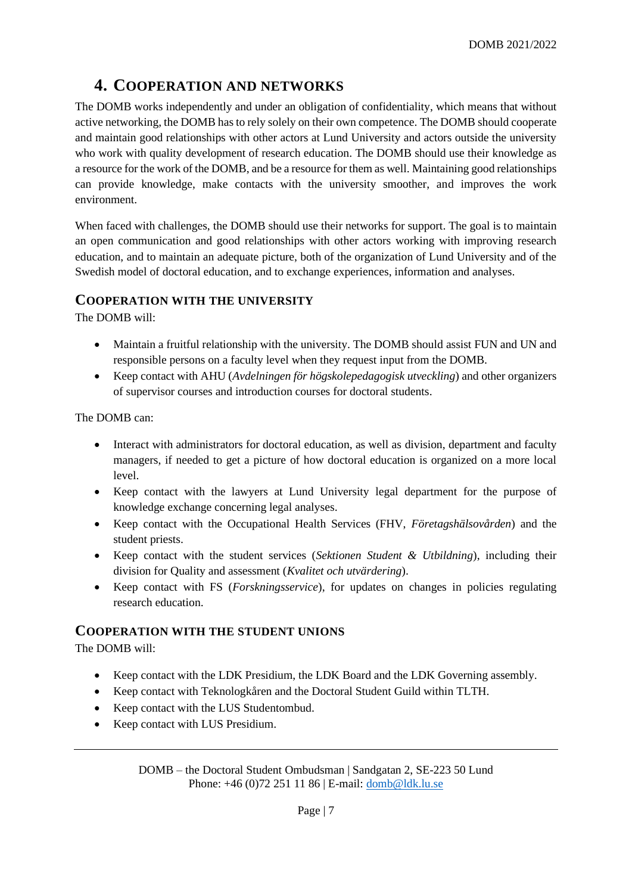# <span id="page-6-0"></span>**4. COOPERATION AND NETWORKS**

The DOMB works independently and under an obligation of confidentiality, which means that without active networking, the DOMB has to rely solely on their own competence. The DOMB should cooperate and maintain good relationships with other actors at Lund University and actors outside the university who work with quality development of research education. The DOMB should use their knowledge as a resource for the work of the DOMB, and be a resource for them as well. Maintaining good relationships can provide knowledge, make contacts with the university smoother, and improves the work environment.

When faced with challenges, the DOMB should use their networks for support. The goal is to maintain an open communication and good relationships with other actors working with improving research education, and to maintain an adequate picture, both of the organization of Lund University and of the Swedish model of doctoral education, and to exchange experiences, information and analyses.

### <span id="page-6-1"></span>**COOPERATION WITH THE UNIVERSITY**

The DOMB will:

- Maintain a fruitful relationship with the university. The DOMB should assist FUN and UN and responsible persons on a faculty level when they request input from the DOMB.
- Keep contact with AHU (*Avdelningen för högskolepedagogisk utveckling*) and other organizers of supervisor courses and introduction courses for doctoral students.

The DOMB can:

- Interact with administrators for doctoral education, as well as division, department and faculty managers, if needed to get a picture of how doctoral education is organized on a more local level.
- Keep contact with the lawyers at Lund University legal department for the purpose of knowledge exchange concerning legal analyses.
- Keep contact with the Occupational Health Services (FHV, *Företagshälsovården*) and the student priests.
- Keep contact with the student services (*Sektionen Student & Utbildning*), including their division for Quality and assessment (*Kvalitet och utvärdering*).
- Keep contact with FS (*Forskningsservice*), for updates on changes in policies regulating research education.

### <span id="page-6-2"></span>**COOPERATION WITH THE STUDENT UNIONS**

The DOMB will:

- Keep contact with the LDK Presidium, the LDK Board and the LDK Governing assembly.
- Keep contact with Teknologkåren and the Doctoral Student Guild within TLTH.
- Keep contact with the LUS Studentombud.
- Keep contact with LUS Presidium.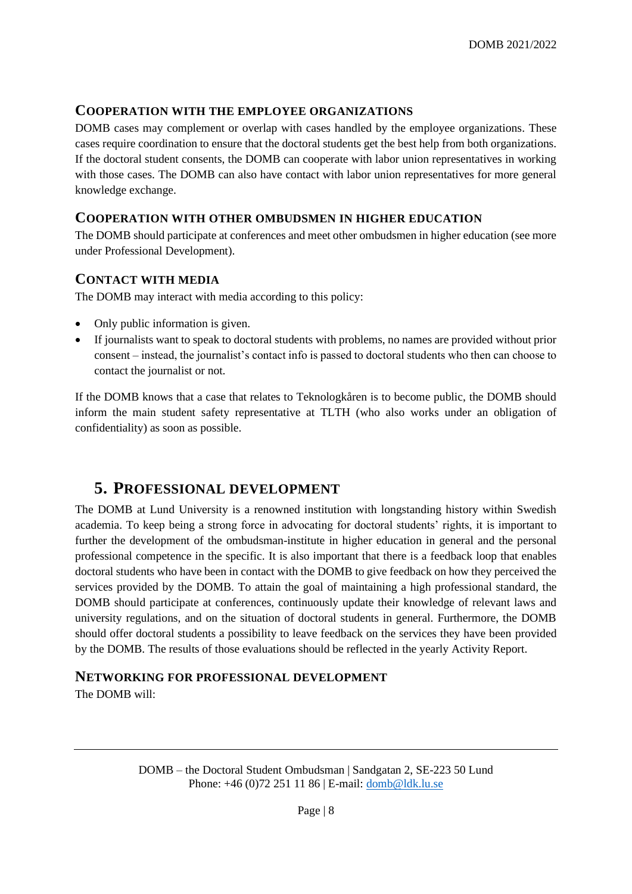### <span id="page-7-0"></span>**COOPERATION WITH THE EMPLOYEE ORGANIZATIONS**

DOMB cases may complement or overlap with cases handled by the employee organizations. These cases require coordination to ensure that the doctoral students get the best help from both organizations. If the doctoral student consents, the DOMB can cooperate with labor union representatives in working with those cases. The DOMB can also have contact with labor union representatives for more general knowledge exchange.

### <span id="page-7-1"></span>**COOPERATION WITH OTHER OMBUDSMEN IN HIGHER EDUCATION**

The DOMB should participate at conferences and meet other ombudsmen in higher education (see more under Professional Development).

#### <span id="page-7-2"></span>**CONTACT WITH MEDIA**

The DOMB may interact with media according to this policy:

- Only public information is given.
- If journalists want to speak to doctoral students with problems, no names are provided without prior consent – instead, the journalist's contact info is passed to doctoral students who then can choose to contact the journalist or not.

If the DOMB knows that a case that relates to Teknologkåren is to become public, the DOMB should inform the main student safety representative at TLTH (who also works under an obligation of confidentiality) as soon as possible.

# <span id="page-7-3"></span>**5. PROFESSIONAL DEVELOPMENT**

The DOMB at Lund University is a renowned institution with longstanding history within Swedish academia. To keep being a strong force in advocating for doctoral students' rights, it is important to further the development of the ombudsman-institute in higher education in general and the personal professional competence in the specific. It is also important that there is a feedback loop that enables doctoral students who have been in contact with the DOMB to give feedback on how they perceived the services provided by the DOMB. To attain the goal of maintaining a high professional standard, the DOMB should participate at conferences, continuously update their knowledge of relevant laws and university regulations, and on the situation of doctoral students in general. Furthermore, the DOMB should offer doctoral students a possibility to leave feedback on the services they have been provided by the DOMB. The results of those evaluations should be reflected in the yearly Activity Report.

#### <span id="page-7-4"></span>**NETWORKING FOR PROFESSIONAL DEVELOPMENT**

The DOMB will: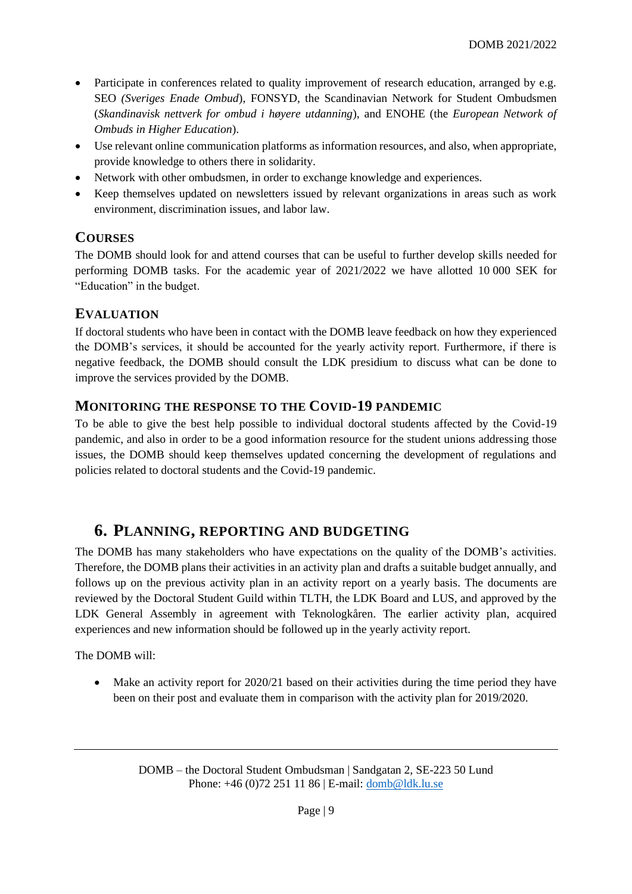- Participate in conferences related to quality improvement of research education, arranged by e.g. SEO *(Sveriges Enade Ombud*), FONSYD, the Scandinavian Network for Student Ombudsmen (*Skandinavisk nettverk for ombud i høyere utdanning*), and ENOHE (the *European Network of Ombuds in Higher Education*).
- Use relevant online communication platforms as information resources, and also, when appropriate, provide knowledge to others there in solidarity.
- Network with other ombudsmen, in order to exchange knowledge and experiences.
- Keep themselves updated on newsletters issued by relevant organizations in areas such as work environment, discrimination issues, and labor law.

### <span id="page-8-0"></span>**COURSES**

The DOMB should look for and attend courses that can be useful to further develop skills needed for performing DOMB tasks. For the academic year of 2021/2022 we have allotted 10 000 SEK for "Education" in the budget.

### <span id="page-8-1"></span>**EVALUATION**

If doctoral students who have been in contact with the DOMB leave feedback on how they experienced the DOMB's services, it should be accounted for the yearly activity report. Furthermore, if there is negative feedback, the DOMB should consult the LDK presidium to discuss what can be done to improve the services provided by the DOMB.

### <span id="page-8-2"></span>**MONITORING THE RESPONSE TO THE COVID-19 PANDEMIC**

To be able to give the best help possible to individual doctoral students affected by the Covid-19 pandemic, and also in order to be a good information resource for the student unions addressing those issues, the DOMB should keep themselves updated concerning the development of regulations and policies related to doctoral students and the Covid-19 pandemic.

# <span id="page-8-3"></span>**6. PLANNING, REPORTING AND BUDGETING**

The DOMB has many stakeholders who have expectations on the quality of the DOMB's activities. Therefore, the DOMB plans their activities in an activity plan and drafts a suitable budget annually, and follows up on the previous activity plan in an activity report on a yearly basis. The documents are reviewed by the Doctoral Student Guild within TLTH, the LDK Board and LUS, and approved by the LDK General Assembly in agreement with Teknologkåren. The earlier activity plan, acquired experiences and new information should be followed up in the yearly activity report.

The DOMB will:

• Make an activity report for 2020/21 based on their activities during the time period they have been on their post and evaluate them in comparison with the activity plan for 2019/2020.